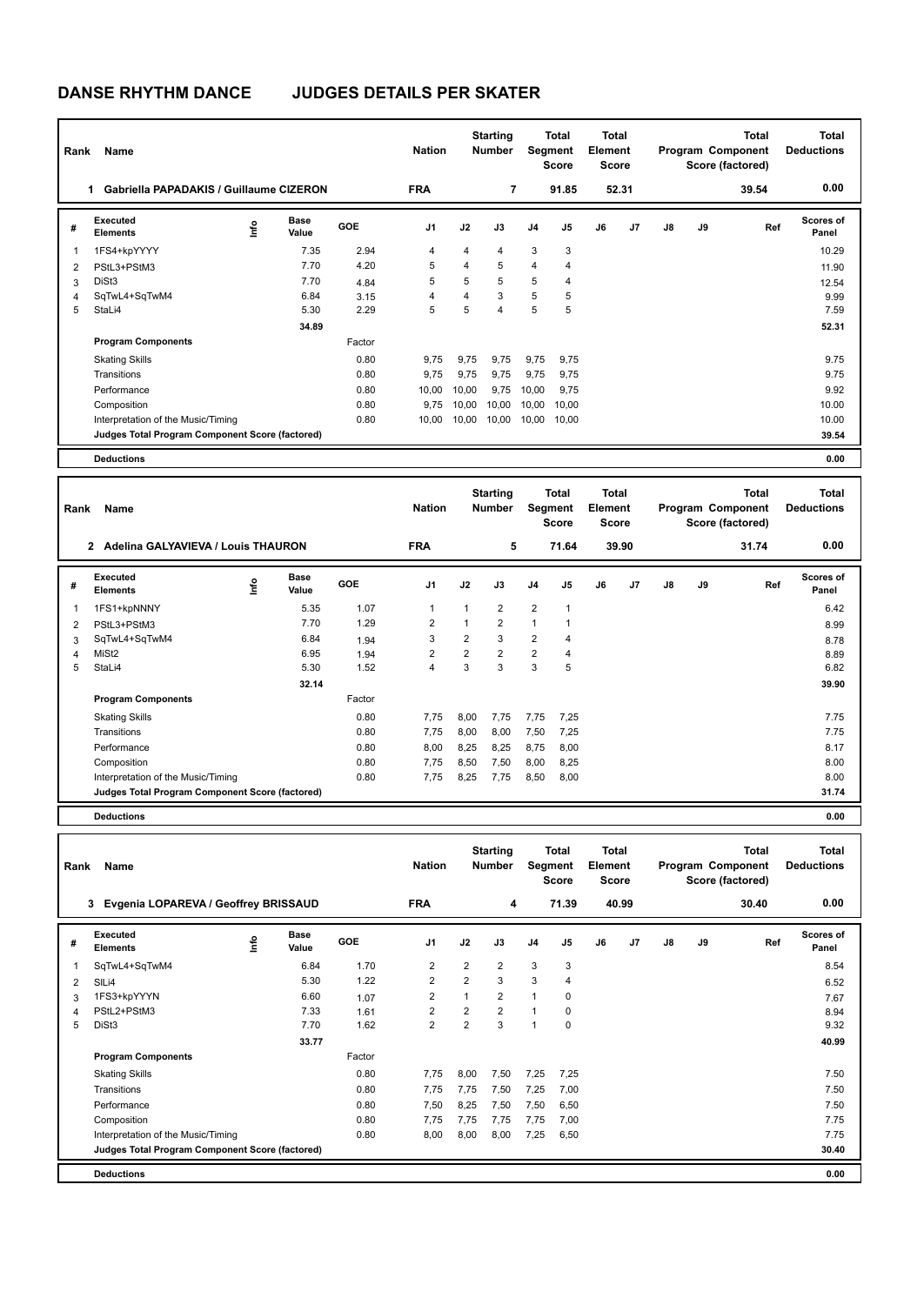## **DANSE RHYTHM DANCE JUDGES DETAILS PER SKATER**

| Rank | Name                                                |      |                      |        | <b>Nation</b>  |       | <b>Starting</b><br><b>Number</b> |                | Total<br>Segment<br><b>Score</b> | <b>Total</b><br>Element<br><b>Score</b> |       |               |    | <b>Total</b><br>Program Component<br>Score (factored) | <b>Total</b><br><b>Deductions</b> |
|------|-----------------------------------------------------|------|----------------------|--------|----------------|-------|----------------------------------|----------------|----------------------------------|-----------------------------------------|-------|---------------|----|-------------------------------------------------------|-----------------------------------|
|      | <b>Gabriella PAPADAKIS / Guillaume CIZERON</b><br>1 |      |                      |        | <b>FRA</b>     |       | 7                                |                | 91.85                            |                                         | 52.31 |               |    | 39.54                                                 | 0.00                              |
| #    | Executed<br><b>Elements</b>                         | lnfo | <b>Base</b><br>Value | GOE    | J <sub>1</sub> | J2    | J3                               | J <sub>4</sub> | J <sub>5</sub>                   | J6                                      | J7    | $\mathsf{J}8$ | J9 | Ref                                                   | <b>Scores of</b><br>Panel         |
| 1    | 1FS4+kpYYYY                                         |      | 7.35                 | 2.94   | 4              | 4     | 4                                | 3              | 3                                |                                         |       |               |    |                                                       | 10.29                             |
| 2    | PStL3+PStM3                                         |      | 7.70                 | 4.20   | 5              | 4     | 5                                | $\overline{4}$ | $\overline{4}$                   |                                         |       |               |    |                                                       | 11.90                             |
| 3    | DiSt <sub>3</sub>                                   |      | 7.70                 | 4.84   | 5              | 5     | 5                                | 5              | $\overline{4}$                   |                                         |       |               |    |                                                       | 12.54                             |
| 4    | SqTwL4+SqTwM4                                       |      | 6.84                 | 3.15   | 4              | 4     | 3                                | 5              | 5                                |                                         |       |               |    |                                                       | 9.99                              |
| 5    | StaLi4                                              |      | 5.30                 | 2.29   | 5              | 5     | $\overline{4}$                   | 5              | 5                                |                                         |       |               |    |                                                       | 7.59                              |
|      |                                                     |      | 34.89                |        |                |       |                                  |                |                                  |                                         |       |               |    |                                                       | 52.31                             |
|      | <b>Program Components</b>                           |      |                      | Factor |                |       |                                  |                |                                  |                                         |       |               |    |                                                       |                                   |
|      | <b>Skating Skills</b>                               |      |                      | 0.80   | 9.75           | 9,75  | 9,75                             | 9,75           | 9,75                             |                                         |       |               |    |                                                       | 9.75                              |
|      | Transitions                                         |      |                      | 0.80   | 9,75           | 9.75  | 9.75                             | 9,75           | 9.75                             |                                         |       |               |    |                                                       | 9.75                              |
|      | Performance                                         |      |                      | 0.80   | 10,00          | 10,00 | 9,75                             | 10,00          | 9,75                             |                                         |       |               |    |                                                       | 9.92                              |
|      | Composition                                         |      |                      | 0.80   | 9.75           | 10,00 | 10,00                            | 10,00          | 10.00                            |                                         |       |               |    |                                                       | 10.00                             |
|      | Interpretation of the Music/Timing                  |      |                      | 0.80   | 10,00          | 10,00 | 10,00                            | 10,00          | 10.00                            |                                         |       |               |    |                                                       | 10.00                             |
|      | Judges Total Program Component Score (factored)     |      |                      |        |                |       |                                  |                |                                  |                                         |       |               |    |                                                       | 39.54                             |
|      | <b>Deductions</b>                                   |      |                      |        |                |       |                                  |                |                                  |                                         |       |               |    |                                                       | 0.00                              |

| Rank | Name                                                 |      |                      |            | <b>Nation</b>  |                | <b>Starting</b><br><b>Number</b> | Segment        | Total<br><b>Score</b> | Total<br>Element<br><b>Score</b> |                |               |    | <b>Total</b><br>Program Component<br>Score (factored) | Total<br><b>Deductions</b> |
|------|------------------------------------------------------|------|----------------------|------------|----------------|----------------|----------------------------------|----------------|-----------------------|----------------------------------|----------------|---------------|----|-------------------------------------------------------|----------------------------|
|      | Adelina GALYAVIEVA / Louis THAURON<br>$\overline{2}$ |      |                      |            | <b>FRA</b>     |                | 5                                |                | 71.64                 |                                  | 39.90          |               |    | 31.74                                                 | 0.00                       |
| #    | Executed<br><b>Elements</b>                          | lnfo | <b>Base</b><br>Value | <b>GOE</b> | J <sub>1</sub> | J2             | J3                               | J <sub>4</sub> | J5                    | J6                               | J <sub>7</sub> | $\mathsf{J}8$ | J9 | Ref                                                   | Scores of<br>Panel         |
| 1    | 1FS1+kpNNNY                                          |      | 5.35                 | 1.07       | 1              | 1              | $\overline{2}$                   | $\overline{2}$ | 1                     |                                  |                |               |    |                                                       | 6.42                       |
| 2    | PStL3+PStM3                                          |      | 7.70                 | 1.29       | 2              | 1              | $\overline{2}$                   | $\overline{1}$ |                       |                                  |                |               |    |                                                       | 8.99                       |
| 3    | SqTwL4+SqTwM4                                        |      | 6.84                 | 1.94       | 3              | $\overline{2}$ | 3                                | $\overline{2}$ | 4                     |                                  |                |               |    |                                                       | 8.78                       |
| 4    | MiSt <sub>2</sub>                                    |      | 6.95                 | 1.94       | $\overline{2}$ | $\overline{2}$ | $\overline{2}$                   | $\overline{2}$ | 4                     |                                  |                |               |    |                                                       | 8.89                       |
| 5    | StaLi4                                               |      | 5.30                 | 1.52       | 4              | 3              | 3                                | 3              | 5                     |                                  |                |               |    |                                                       | 6.82                       |
|      |                                                      |      | 32.14                |            |                |                |                                  |                |                       |                                  |                |               |    |                                                       | 39.90                      |
|      | <b>Program Components</b>                            |      |                      | Factor     |                |                |                                  |                |                       |                                  |                |               |    |                                                       |                            |
|      | <b>Skating Skills</b>                                |      |                      | 0.80       | 7,75           | 8,00           | 7,75                             | 7,75           | 7,25                  |                                  |                |               |    |                                                       | 7.75                       |
|      | Transitions                                          |      |                      | 0.80       | 7,75           | 8,00           | 8,00                             | 7,50           | 7,25                  |                                  |                |               |    |                                                       | 7.75                       |
|      | Performance                                          |      |                      | 0.80       | 8,00           | 8,25           | 8,25                             | 8,75           | 8,00                  |                                  |                |               |    |                                                       | 8.17                       |
|      | Composition                                          |      |                      | 0.80       | 7,75           | 8,50           | 7,50                             | 8,00           | 8,25                  |                                  |                |               |    |                                                       | 8.00                       |
|      | Interpretation of the Music/Timing                   |      |                      | 0.80       | 7,75           | 8,25           | 7,75                             | 8,50           | 8,00                  |                                  |                |               |    |                                                       | 8.00                       |
|      | Judges Total Program Component Score (factored)      |      |                      |            |                |                |                                  |                |                       |                                  |                |               |    |                                                       | 31.74                      |
|      | <b>Deductions</b>                                    |      |                      |            |                |                |                                  |                |                       |                                  |                |               |    |                                                       | 0.00                       |

| Rank | Name                                            | <b>Nation</b> |                      | <b>Starting</b><br><b>Number</b> | <b>Total</b><br>Segment<br><b>Score</b> |                | <b>Total</b><br>Element<br><b>Score</b> |                | <b>Total</b><br>Program Component<br>Score (factored) |    |                | <b>Total</b><br><b>Deductions</b> |    |       |                    |
|------|-------------------------------------------------|---------------|----------------------|----------------------------------|-----------------------------------------|----------------|-----------------------------------------|----------------|-------------------------------------------------------|----|----------------|-----------------------------------|----|-------|--------------------|
|      | Evgenia LOPAREVA / Geoffrey BRISSAUD<br>3       |               |                      |                                  | <b>FRA</b>                              |                | 4                                       |                | 71.39                                                 |    | 40.99          |                                   |    | 30.40 | 0.00               |
| #    | Executed<br><b>Elements</b>                     | ۴             | <b>Base</b><br>Value | <b>GOE</b>                       | J <sub>1</sub>                          | J2             | J3                                      | J <sub>4</sub> | J <sub>5</sub>                                        | J6 | J <sub>7</sub> | J8                                | J9 | Ref   | Scores of<br>Panel |
| 1    | SqTwL4+SqTwM4                                   |               | 6.84                 | 1.70                             | 2                                       | $\overline{2}$ | $\overline{2}$                          | 3              | 3                                                     |    |                |                                   |    |       | 8.54               |
| 2    | SILi4                                           |               | 5.30                 | 1.22                             | $\overline{2}$                          | $\overline{2}$ | 3                                       | 3              | $\overline{4}$                                        |    |                |                                   |    |       | 6.52               |
| 3    | 1FS3+kpYYYN                                     |               | 6.60                 | 1.07                             | 2                                       | $\overline{1}$ | $\overline{2}$                          | $\mathbf{1}$   | 0                                                     |    |                |                                   |    |       | 7.67               |
| 4    | PStL2+PStM3                                     |               | 7.33                 | 1.61                             | $\overline{2}$                          | 2              | $\overline{2}$                          | $\mathbf{1}$   | 0                                                     |    |                |                                   |    |       | 8.94               |
| 5    | DiSt3                                           |               | 7.70                 | 1.62                             | $\overline{2}$                          | $\overline{2}$ | 3                                       | $\mathbf{1}$   | $\mathbf 0$                                           |    |                |                                   |    |       | 9.32               |
|      |                                                 |               | 33.77                |                                  |                                         |                |                                         |                |                                                       |    |                |                                   |    |       | 40.99              |
|      | <b>Program Components</b>                       |               |                      | Factor                           |                                         |                |                                         |                |                                                       |    |                |                                   |    |       |                    |
|      | <b>Skating Skills</b>                           |               |                      | 0.80                             | 7.75                                    | 8,00           | 7,50                                    | 7,25           | 7,25                                                  |    |                |                                   |    |       | 7.50               |
|      | Transitions                                     |               |                      | 0.80                             | 7,75                                    | 7,75           | 7,50                                    | 7,25           | 7,00                                                  |    |                |                                   |    |       | 7.50               |
|      | Performance                                     |               |                      | 0.80                             | 7,50                                    | 8,25           | 7,50                                    | 7,50           | 6,50                                                  |    |                |                                   |    |       | 7.50               |
|      | Composition                                     |               |                      | 0.80                             | 7.75                                    | 7,75           | 7,75                                    | 7,75           | 7,00                                                  |    |                |                                   |    |       | 7.75               |
|      | Interpretation of the Music/Timing              |               |                      | 0.80                             | 8,00                                    | 8,00           | 8,00                                    | 7,25           | 6,50                                                  |    |                |                                   |    |       | 7.75               |
|      | Judges Total Program Component Score (factored) |               |                      |                                  |                                         |                |                                         |                |                                                       |    |                |                                   |    |       | 30.40              |
|      | <b>Deductions</b>                               |               |                      |                                  |                                         |                |                                         |                |                                                       |    |                |                                   |    |       | 0.00               |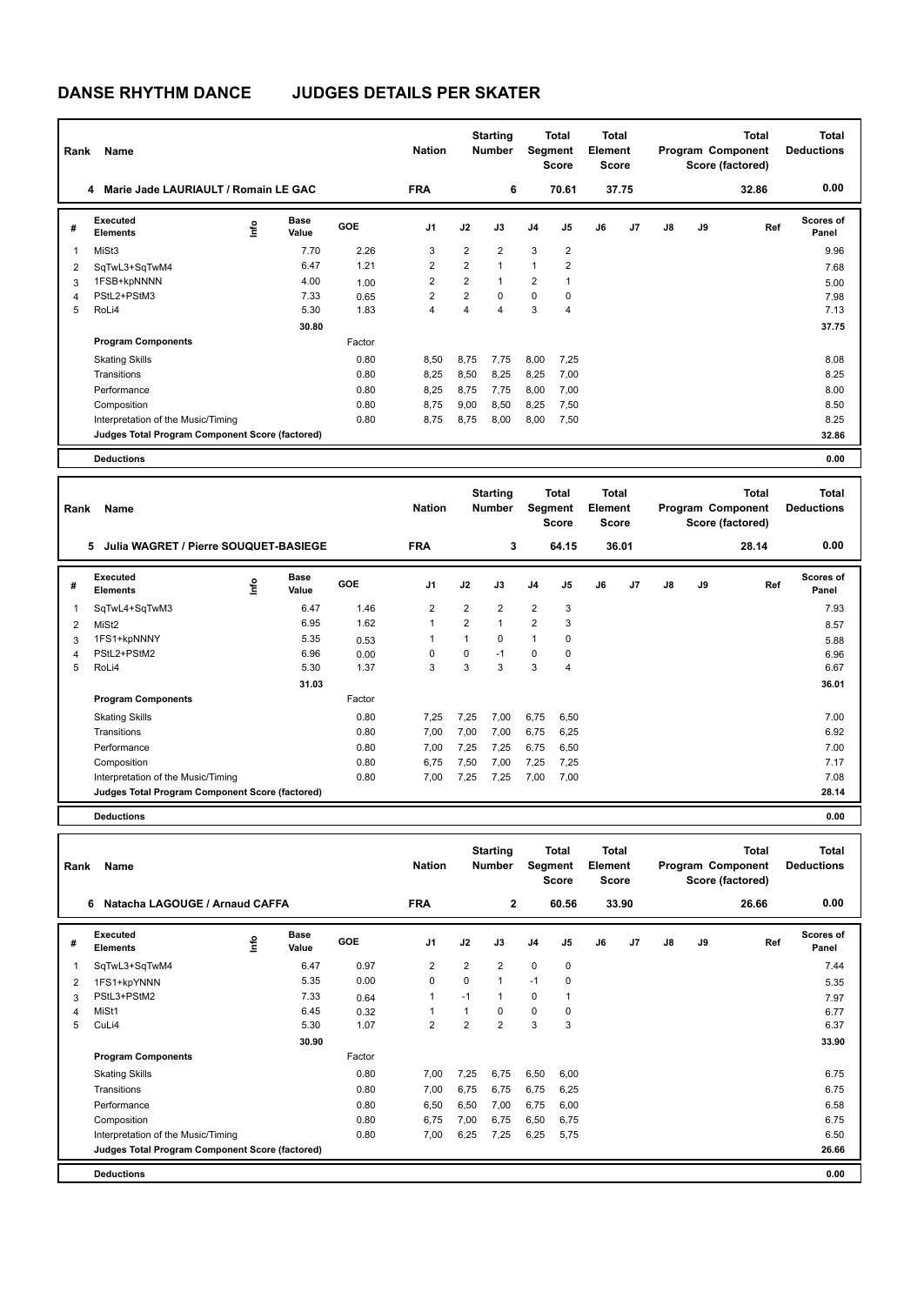## **DANSE RHYTHM DANCE JUDGES DETAILS PER SKATER**

| Rank | Name                                            |      |                      |        | <b>Nation</b>  |                | <b>Starting</b><br><b>Number</b> | <b>Segment</b> | <b>Total</b><br><b>Score</b> | Total<br>Element<br><b>Score</b> |       |    |    | Total<br>Program Component<br>Score (factored) | Total<br><b>Deductions</b> |
|------|-------------------------------------------------|------|----------------------|--------|----------------|----------------|----------------------------------|----------------|------------------------------|----------------------------------|-------|----|----|------------------------------------------------|----------------------------|
|      | Marie Jade LAURIAULT / Romain LE GAC<br>4       |      |                      |        | <b>FRA</b>     |                | 6                                |                | 70.61                        |                                  | 37.75 |    |    | 32.86                                          | 0.00                       |
| #    | <b>Executed</b><br><b>Elements</b>              | lnfo | <b>Base</b><br>Value | GOE    | J <sub>1</sub> | J2             | J3                               | J <sub>4</sub> | J5                           | J6                               | J7    | J8 | J9 | Ref                                            | Scores of<br>Panel         |
| 1    | MiSt3                                           |      | 7.70                 | 2.26   | 3              | $\overline{2}$ | $\overline{2}$                   | 3              | $\overline{2}$               |                                  |       |    |    |                                                | 9.96                       |
| 2    | SqTwL3+SqTwM4                                   |      | 6.47                 | 1.21   | 2              | $\overline{2}$ | $\overline{1}$                   | $\overline{1}$ | $\overline{2}$               |                                  |       |    |    |                                                | 7.68                       |
| 3    | 1FSB+kpNNNN                                     |      | 4.00                 | 1.00   | $\overline{2}$ | $\overline{2}$ | 1                                | $\overline{2}$ | 1                            |                                  |       |    |    |                                                | 5.00                       |
| 4    | PStL2+PStM3                                     |      | 7.33                 | 0.65   | 2              | $\overline{2}$ | $\Omega$                         | 0              | 0                            |                                  |       |    |    |                                                | 7.98                       |
| 5    | RoLi4                                           |      | 5.30                 | 1.83   | 4              | 4              | 4                                | 3              | 4                            |                                  |       |    |    |                                                | 7.13                       |
|      |                                                 |      | 30.80                |        |                |                |                                  |                |                              |                                  |       |    |    |                                                | 37.75                      |
|      | <b>Program Components</b>                       |      |                      | Factor |                |                |                                  |                |                              |                                  |       |    |    |                                                |                            |
|      | <b>Skating Skills</b>                           |      |                      | 0.80   | 8,50           | 8,75           | 7,75                             | 8,00           | 7,25                         |                                  |       |    |    |                                                | 8.08                       |
|      | Transitions                                     |      |                      | 0.80   | 8,25           | 8,50           | 8,25                             | 8,25           | 7.00                         |                                  |       |    |    |                                                | 8.25                       |
|      | Performance                                     |      |                      | 0.80   | 8,25           | 8.75           | 7.75                             | 8,00           | 7,00                         |                                  |       |    |    |                                                | 8.00                       |
|      | Composition                                     |      |                      | 0.80   | 8.75           | 9,00           | 8,50                             | 8,25           | 7,50                         |                                  |       |    |    |                                                | 8.50                       |
|      | Interpretation of the Music/Timing              |      |                      | 0.80   | 8.75           | 8,75           | 8,00                             | 8,00           | 7,50                         |                                  |       |    |    |                                                | 8.25                       |
|      | Judges Total Program Component Score (factored) |      |                      |        |                |                |                                  |                |                              |                                  |       |    |    |                                                | 32.86                      |
|      | <b>Deductions</b>                               |      |                      |        |                |                |                                  |                |                              |                                  |       |    |    |                                                | 0.00                       |

| Rank | Name                                            |             |               |            | <b>Nation</b>  |                | <b>Starting</b><br><b>Number</b> | <b>Total</b><br>Segment<br><b>Score</b> |                | <b>Total</b><br>Element<br><b>Score</b> |       | <b>Total</b><br>Program Component<br>Score (factored) |    |       | <b>Total</b><br><b>Deductions</b> |
|------|-------------------------------------------------|-------------|---------------|------------|----------------|----------------|----------------------------------|-----------------------------------------|----------------|-----------------------------------------|-------|-------------------------------------------------------|----|-------|-----------------------------------|
|      | Julia WAGRET / Pierre SOUQUET-BASIEGE<br>5      |             |               |            | <b>FRA</b>     |                | 3                                |                                         | 64.15          |                                         | 36.01 |                                                       |    | 28.14 | 0.00                              |
| #    | <b>Executed</b><br><b>Elements</b>              | <u>lnfo</u> | Base<br>Value | <b>GOE</b> | J <sub>1</sub> | J2             | J3                               | J <sub>4</sub>                          | J5             | J6                                      | J7    | J8                                                    | J9 | Ref   | <b>Scores of</b><br>Panel         |
|      | SqTwL4+SqTwM3                                   |             | 6.47          | 1.46       | $\overline{2}$ | $\overline{2}$ | $\overline{2}$                   | $\overline{2}$                          | 3              |                                         |       |                                                       |    |       | 7.93                              |
| 2    | MiSt2                                           |             | 6.95          | 1.62       | 1              | 2              | $\mathbf{1}$                     | $\overline{2}$                          | 3              |                                         |       |                                                       |    |       | 8.57                              |
| 3    | 1FS1+kpNNNY                                     |             | 5.35          | 0.53       | 1              | 1              | 0                                | $\mathbf{1}$                            | 0              |                                         |       |                                                       |    |       | 5.88                              |
| 4    | PStL2+PStM2                                     |             | 6.96          | 0.00       | 0              | 0              | $-1$                             | 0                                       | 0              |                                         |       |                                                       |    |       | 6.96                              |
| 5    | RoLi4                                           |             | 5.30          | 1.37       | 3              | 3              | 3                                | 3                                       | $\overline{4}$ |                                         |       |                                                       |    |       | 6.67                              |
|      |                                                 |             | 31.03         |            |                |                |                                  |                                         |                |                                         |       |                                                       |    |       | 36.01                             |
|      | <b>Program Components</b>                       |             |               | Factor     |                |                |                                  |                                         |                |                                         |       |                                                       |    |       |                                   |
|      | <b>Skating Skills</b>                           |             |               | 0.80       | 7,25           | 7,25           | 7,00                             | 6,75                                    | 6,50           |                                         |       |                                                       |    |       | 7.00                              |
|      | Transitions                                     |             |               | 0.80       | 7,00           | 7,00           | 7,00                             | 6,75                                    | 6,25           |                                         |       |                                                       |    |       | 6.92                              |
|      | Performance                                     |             |               | 0.80       | 7,00           | 7,25           | 7,25                             | 6,75                                    | 6,50           |                                         |       |                                                       |    |       | 7.00                              |
|      | Composition                                     |             |               | 0.80       | 6,75           | 7,50           | 7,00                             | 7,25                                    | 7,25           |                                         |       |                                                       |    |       | 7.17                              |
|      | Interpretation of the Music/Timing              |             |               | 0.80       | 7,00           | 7,25           | 7,25                             | 7,00                                    | 7,00           |                                         |       |                                                       |    |       | 7.08                              |
|      | Judges Total Program Component Score (factored) |             |               |            |                |                |                                  |                                         |                |                                         |       |                                                       |    |       | 28.14                             |
|      | <b>Deductions</b>                               |             |               |            |                |                |                                  |                                         |                |                                         |       |                                                       |    |       | 0.00                              |

| Rank | Name                                            | <b>Nation</b> |                      | <b>Starting</b><br><b>Number</b> | Total<br>Segment<br>Score |                | <b>Total</b><br>Element<br><b>Score</b> |                | <b>Total</b><br>Program Component<br>Score (factored) |    |       | <b>Total</b><br><b>Deductions</b> |    |       |                           |
|------|-------------------------------------------------|---------------|----------------------|----------------------------------|---------------------------|----------------|-----------------------------------------|----------------|-------------------------------------------------------|----|-------|-----------------------------------|----|-------|---------------------------|
|      | Natacha LAGOUGE / Arnaud CAFFA<br>6             |               |                      |                                  | <b>FRA</b>                |                | $\overline{2}$                          |                | 60.56                                                 |    | 33.90 |                                   |    | 26.66 | 0.00                      |
| #    | Executed<br><b>Elements</b>                     | ۴ô            | <b>Base</b><br>Value | <b>GOE</b>                       | J <sub>1</sub>            | J2             | J3                                      | J <sub>4</sub> | J5                                                    | J6 | J7    | J8                                | J9 | Ref   | <b>Scores of</b><br>Panel |
| 1    | SqTwL3+SqTwM4                                   |               | 6.47                 | 0.97                             | 2                         | 2              | $\overline{2}$                          | $\mathbf 0$    | $\mathbf 0$                                           |    |       |                                   |    |       | 7.44                      |
| 2    | 1FS1+kpYNNN                                     |               | 5.35                 | 0.00                             | 0                         | $\Omega$       | $\mathbf{1}$                            | $-1$           | 0                                                     |    |       |                                   |    |       | 5.35                      |
| 3    | PStL3+PStM2                                     |               | 7.33                 | 0.64                             | $\overline{1}$            | $-1$           | $\overline{1}$                          | 0              | 1                                                     |    |       |                                   |    |       | 7.97                      |
| 4    | MiSt1                                           |               | 6.45                 | 0.32                             |                           | 1              | $\Omega$                                | 0              | 0                                                     |    |       |                                   |    |       | 6.77                      |
| 5    | CuLi4                                           |               | 5.30                 | 1.07                             | $\overline{2}$            | $\overline{2}$ | $\overline{2}$                          | 3              | 3                                                     |    |       |                                   |    |       | 6.37                      |
|      |                                                 |               | 30.90                |                                  |                           |                |                                         |                |                                                       |    |       |                                   |    |       | 33.90                     |
|      | <b>Program Components</b>                       |               |                      | Factor                           |                           |                |                                         |                |                                                       |    |       |                                   |    |       |                           |
|      | <b>Skating Skills</b>                           |               |                      | 0.80                             | 7,00                      | 7,25           | 6,75                                    | 6,50           | 6,00                                                  |    |       |                                   |    |       | 6.75                      |
|      | Transitions                                     |               |                      | 0.80                             | 7,00                      | 6,75           | 6.75                                    | 6,75           | 6,25                                                  |    |       |                                   |    |       | 6.75                      |
|      | Performance                                     |               |                      | 0.80                             | 6,50                      | 6,50           | 7,00                                    | 6,75           | 6,00                                                  |    |       |                                   |    |       | 6.58                      |
|      | Composition                                     |               |                      | 0.80                             | 6,75                      | 7,00           | 6,75                                    | 6,50           | 6,75                                                  |    |       |                                   |    |       | 6.75                      |
|      | Interpretation of the Music/Timing              |               |                      | 0.80                             | 7,00                      | 6,25           | 7,25                                    | 6,25           | 5,75                                                  |    |       |                                   |    |       | 6.50                      |
|      | Judges Total Program Component Score (factored) |               |                      |                                  |                           |                |                                         |                |                                                       |    |       |                                   |    |       | 26.66                     |
|      | <b>Deductions</b>                               |               |                      |                                  |                           |                |                                         |                |                                                       |    |       |                                   |    |       | 0.00                      |